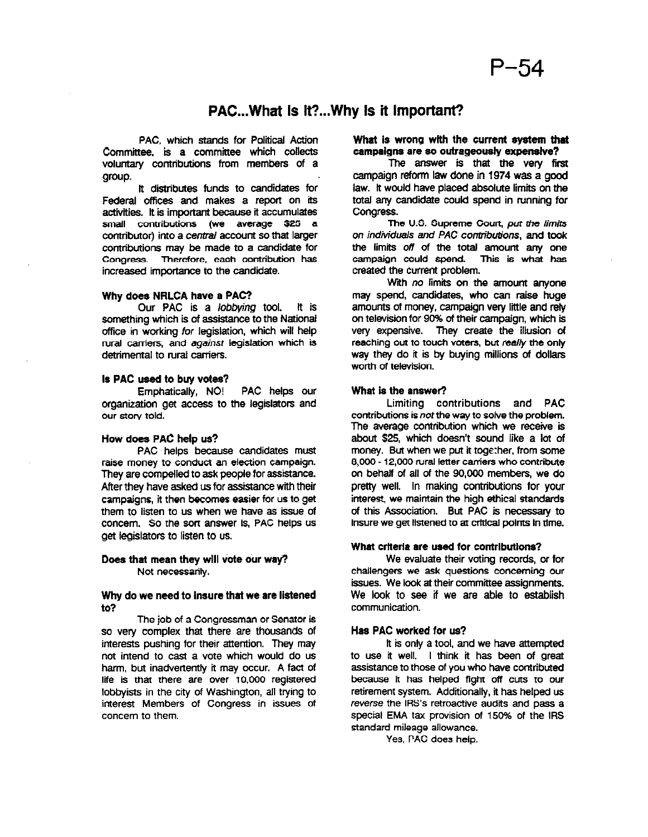# PAC...What Is It?...Why Is it Important?

PAC. which stands for Political Action Committee, is a committee which collects voluntary contributions from members of a group.

lt distributes funds to candidates for Federal offices and makes a report on its activities. lt is important because it accumulates small contributions (we average \$20 a contributor) into a central account so that larger contributions may be made to a candidate for Congress Therefore. each contribution has increased importance to the candidate.

### Why does NRLCA have a PAC?

Our PAC is a lobbying tool. It is something which is of assistance to the National office in working for legislation, which will help rural carriers, and against legislation which is detrimental to rural carriers.

#### Is PAC used to buy votes?

Emphatically, NO! PAC helps our organization get access to the legislators and our story told.

#### How does PAC help us?

PAC helps because candidates must raise money to conduct an election campaign. They are compelled to ask people for assistance. After they have asked us for assistance with their campaigns, it then becomes easier for us to get them to listen to us when we have as issue of concern. So the sort answer is, PAC helps us get legislators to listen to us.

# Does that mean they will vote our way? Not necessarily.

# Why do we need to Insure that we are listened wu

so very complex single of senators so very complex that there are thousands of interests pushing for their attention. They may not intend to cast a vote which would do us harm, but inadvertently it may occur. A fact of life is that there are over 10,000 registered lobbyists in the city of Washington, all trying to interest Members of Congress in issues of concern to them.

# What is wrong with the current system that campaigns are so outrageously expensive?

The answer is that the very first campaign reform law done in 1974 was a good law. It would have placed absolute limits on the total any candidate could spend in running for Congress.

The U.S. Supreme Court, put the limits on individuals and PAC contributions, and took the limits off of the total amount any one campaign could spend. This is whet hes created the current problem.

With no limits on the amount anyone may spend, candidates, who can raise huge amounts of money, campaign very little and rely on television for 90% of their campaign, which is very expensive. They create the illusion of reaching out to touch voters, but really the only way they do it is by buying millions of dollars worth of television.

#### What is the answer?

Limiting contributions and PAC contributions is not the way to solve the problem. The average contribution which we receive is about \$25, which doesn't sound like a lot of money. But when we put it together, from some 8,000 - 12,000 rural letter carriers who contribute on behaif of all of the 90,000 members, we do pretty well. In making contributions for your interest. we maintain the high ethical standards of this Association. But PAC is necessary to insure we get listened to at critical points in time.

# What crtterla are used for contrlbutlons?

We evaluate their voting records, or for receivaluate their volling records, or for chancingers we ask questions competiting or issues. We look at their committee assignments. We look to see if we are able to establish<br>communication.

#### Has PAC worked for us?  $\sim$  worked for an  $\sim$

it is only a tool, and we have attempted to use it well. I think it has been of great assistance to those of you who have contributed because it has helped fight off cuts to our retirement system. Additionally, it has helped us reverse the IRS's retroactive audits and pass a special EMA tax provision of 150% of the IRS standard mileage allowance.<br>Yes, PAC does help.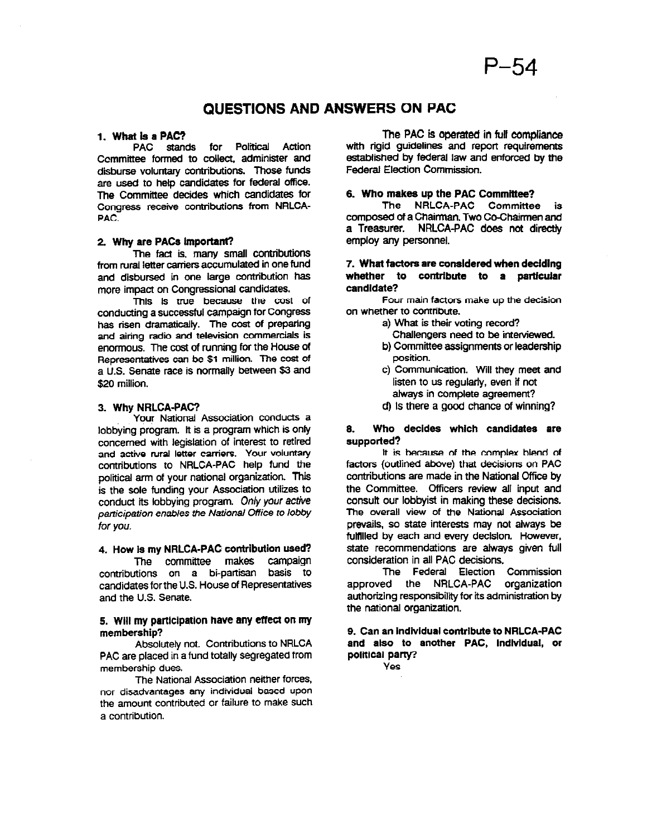# QUESTIONS AND ANSWERS ON PAC

# 1. What is a PAC?

PAC stands for Political Action Ccmmfttee formed to collect, administer and disburse voluntary contributions. Those funds are used to help candidates for federal office. The Committee decides which candidates for Congress receive contributions from NRLCA-PAC.

## 2. Why are PACa important?

The fact is, many small contributions from rural letter carriers accumulated in one fund and disbursed in one large contribution has more impact on Congressional candidates.

mains is true because the cost of conducting a successful campaign for Congress has risen dramatically. The cost of preparing and airing radio and television commercials is enormous. The cost of running for the House of Representatives can be \$1 million. The cost of a U.S. Senate race is normally between \$3 and \$20 million.

#### 3. Why NRLCA-PAC?

Your National Association conducts a lobbying program. lt is a program which is only concerned with legislation of interest to retired and active rural letter carriers. Your voluntary contributions to NRLCA-PAC help fund the political arm of your national organization. This is the sole funding your Association utilizes to conduct its lobbying program. Only your active participation enables the National Office to lobby for you.

# 4. How is my NRLCA-PAC contribution used?

The committee makes campaign contributions on a bi-partisan basis to candidates for the U.S. House of Representatives and the U.S. Senate.

# 5. Will my participation have any effect on my membership?

Absolutely not. Contributions to NRLCA PAC are placed in a fund totally segregated from membership dues.

The National Association neither forces, nor disadvantages any individual based upon the amount contributed or failure to make such a contribution.

The PAC is operated in full compliance with rigid quidelines and report requirements established by federal law and enforced by the Federal Election Commission.

# 6. Who makes up the PAC Committee?

The NRLCA-PAC Committee is composed of a Chairman. Two Co-Chairmen and a Treasurer. NRLCA-PAC does not directly employ any personnel.

# 7. What factors are consldered when deciding whether to contribute to a particular candidate?

Four main factors make up the decision on whether to contribute.

- a) What is their voting record?
- Challengers need to be interviewed.
- b) Committee assignments or leadership position.
- c) Communication. Will they meet and listen to us regularly, even if not always in complete agreement?
- dj Is there a good chance of winning?

# 6. Who decides which candidates are supported?

It is because of the complex blend of factors (outlined above) that decisions on PAC contributions are made in the National Cffrce by the Committee. Officers review all input and consult our lobbyist in making these decisions. The overall view of the National Association prevails, so state interests may not always be fulfilled by each end every declslon. However, state recommendations are always given full consideration in all PAC decisions.

The Federal Election Commission approved the NRLCA-PAC organization authorizing responsibility for its administration by the national organization.

9. Can an individual contribute to NRLCA-PAC and also to another PAC, Indlvldual, or political parry?

Yes